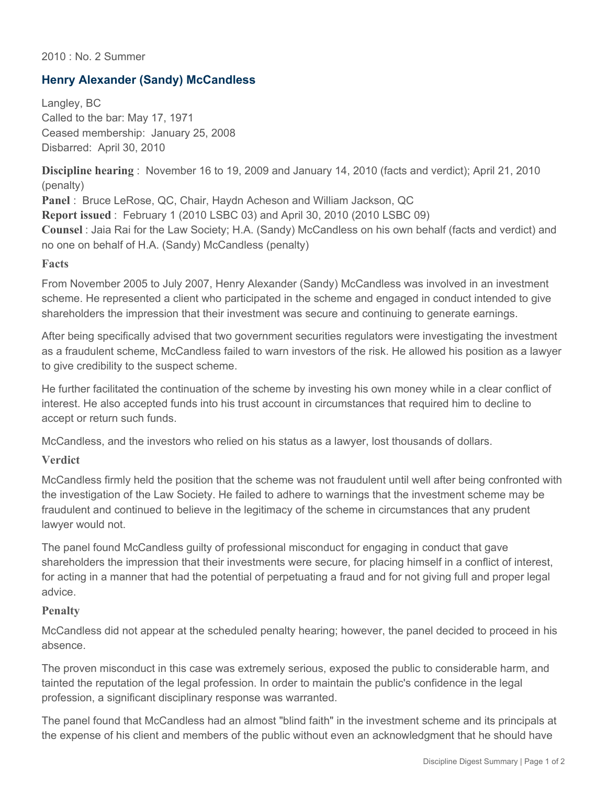### 2010 : No. 2 Summer

# **Henry Alexander (Sandy) McCandless**

Langley, BC Called to the bar: May 17, 1971 Ceased membership: January 25, 2008 Disbarred: April 30, 2010

**Discipline hearing** : November 16 to 19, 2009 and January 14, 2010 (facts and verdict); April 21, 2010 (penalty)

**Panel** : Bruce LeRose, QC, Chair, Haydn Acheson and William Jackson, QC **Report issued** : February 1 (2010 LSBC 03) and April 30, 2010 (2010 LSBC 09) **Counsel** : Jaia Rai for the Law Society; H.A. (Sandy) McCandless on his own behalf (facts and verdict) and no one on behalf of H.A. (Sandy) McCandless (penalty)

#### **Facts**

From November 2005 to July 2007, Henry Alexander (Sandy) McCandless was involved in an investment scheme. He represented a client who participated in the scheme and engaged in conduct intended to give shareholders the impression that their investment was secure and continuing to generate earnings.

After being specifically advised that two government securities regulators were investigating the investment as a fraudulent scheme, McCandless failed to warn investors of the risk. He allowed his position as a lawyer to give credibility to the suspect scheme.

He further facilitated the continuation of the scheme by investing his own money while in a clear conflict of interest. He also accepted funds into his trust account in circumstances that required him to decline to accept or return such funds.

McCandless, and the investors who relied on his status as a lawyer, lost thousands of dollars.

## **Verdict**

McCandless firmly held the position that the scheme was not fraudulent until well after being confronted with the investigation of the Law Society. He failed to adhere to warnings that the investment scheme may be fraudulent and continued to believe in the legitimacy of the scheme in circumstances that any prudent lawyer would not.

The panel found McCandless guilty of professional misconduct for engaging in conduct that gave shareholders the impression that their investments were secure, for placing himself in a conflict of interest, for acting in a manner that had the potential of perpetuating a fraud and for not giving full and proper legal advice.

## **Penalty**

McCandless did not appear at the scheduled penalty hearing; however, the panel decided to proceed in his absence.

The proven misconduct in this case was extremely serious, exposed the public to considerable harm, and tainted the reputation of the legal profession. In order to maintain the public's confidence in the legal profession, a significant disciplinary response was warranted.

The panel found that McCandless had an almost "blind faith" in the investment scheme and its principals at the expense of his client and members of the public without even an acknowledgment that he should have